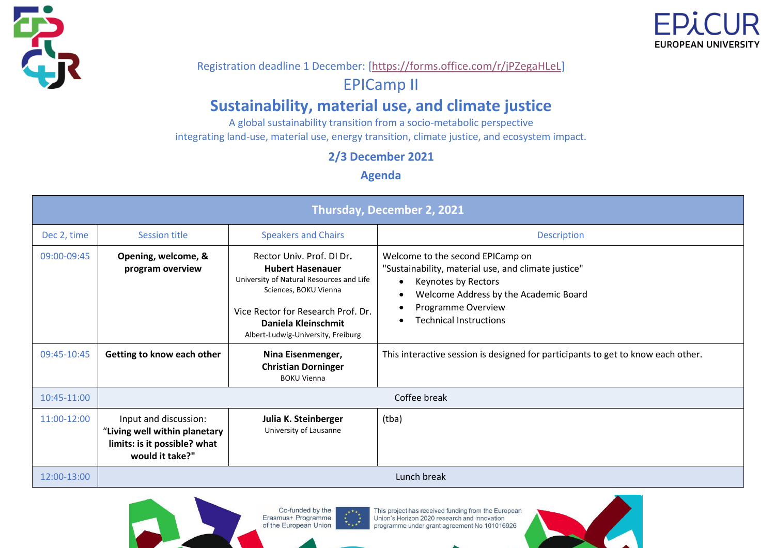



#### Registration deadline 1 December: [\[https://forms.office.com/r/jPZegaHLeL\]](https://forms.office.com/r/jPZegaHLeL)

#### EPICamp II

#### **Sustainability, material use, and climate justice**

A global sustainability transition from a socio-metabolic perspective integrating land-use, material use, energy transition, climate justice, and ecosystem impact.

**2/3 December 2021**

**Agenda**

| Thursday, December 2, 2021                                                         |                                                                                                           |                                                                                                                                                                                                                              |                                                                                                                                                                                                                             |
|------------------------------------------------------------------------------------|-----------------------------------------------------------------------------------------------------------|------------------------------------------------------------------------------------------------------------------------------------------------------------------------------------------------------------------------------|-----------------------------------------------------------------------------------------------------------------------------------------------------------------------------------------------------------------------------|
| Dec 2, time                                                                        | Session title                                                                                             | <b>Speakers and Chairs</b>                                                                                                                                                                                                   | <b>Description</b>                                                                                                                                                                                                          |
| 09:00-09:45                                                                        | Opening, welcome, &<br>program overview                                                                   | Rector Univ. Prof. DI Dr.<br><b>Hubert Hasenauer</b><br>University of Natural Resources and Life<br>Sciences, BOKU Vienna<br>Vice Rector for Research Prof. Dr.<br>Daniela Kleinschmit<br>Albert-Ludwig-University, Freiburg | Welcome to the second EPICamp on<br>"Sustainability, material use, and climate justice"<br>Keynotes by Rectors<br>Welcome Address by the Academic Board<br>Programme Overview<br>$\bullet$<br><b>Technical Instructions</b> |
| 09:45-10:45                                                                        | Getting to know each other                                                                                | Nina Eisenmenger,<br><b>Christian Dorninger</b><br><b>BOKU Vienna</b>                                                                                                                                                        | This interactive session is designed for participants to get to know each other.                                                                                                                                            |
| 10:45-11:00                                                                        | Coffee break                                                                                              |                                                                                                                                                                                                                              |                                                                                                                                                                                                                             |
| 11:00-12:00                                                                        | Input and discussion:<br>"Living well within planetary<br>limits: is it possible? what<br>would it take?" | Julia K. Steinberger<br>University of Lausanne                                                                                                                                                                               | (tba)                                                                                                                                                                                                                       |
| 12:00-13:00                                                                        | Lunch break                                                                                               |                                                                                                                                                                                                                              |                                                                                                                                                                                                                             |
| Co-funded by the<br>This project has received funding from the European<br>$x + x$ |                                                                                                           |                                                                                                                                                                                                                              |                                                                                                                                                                                                                             |

Union's Horizon 2020 research and innovation

programme under grant agreement No 101016926

Erasmus+ Programme

of the European Union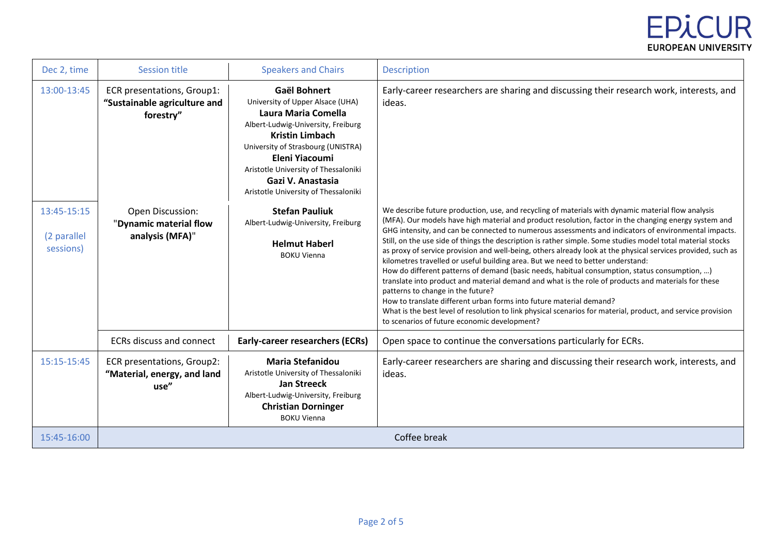# **EPICUR EUROPEAN UNIVERSITY**

| Dec 2, time                             | <b>Session title</b>                                                    | <b>Speakers and Chairs</b>                                                                                                                                                                                                                                                                                  | <b>Description</b>                                                                                                                                                                                                                                                                                                                                                                                                                                                                                                                                                                                                                                                                                                                                                                                                                                                                                                                                                                                                                                                                                                        |
|-----------------------------------------|-------------------------------------------------------------------------|-------------------------------------------------------------------------------------------------------------------------------------------------------------------------------------------------------------------------------------------------------------------------------------------------------------|---------------------------------------------------------------------------------------------------------------------------------------------------------------------------------------------------------------------------------------------------------------------------------------------------------------------------------------------------------------------------------------------------------------------------------------------------------------------------------------------------------------------------------------------------------------------------------------------------------------------------------------------------------------------------------------------------------------------------------------------------------------------------------------------------------------------------------------------------------------------------------------------------------------------------------------------------------------------------------------------------------------------------------------------------------------------------------------------------------------------------|
| 13:00-13:45                             | ECR presentations, Group1:<br>"Sustainable agriculture and<br>forestry" | <b>Gaël Bohnert</b><br>University of Upper Alsace (UHA)<br>Laura Maria Comella<br>Albert-Ludwig-University, Freiburg<br><b>Kristin Limbach</b><br>University of Strasbourg (UNISTRA)<br>Eleni Yiacoumi<br>Aristotle University of Thessaloniki<br>Gazi V. Anastasia<br>Aristotle University of Thessaloniki | Early-career researchers are sharing and discussing their research work, interests, and<br>ideas.                                                                                                                                                                                                                                                                                                                                                                                                                                                                                                                                                                                                                                                                                                                                                                                                                                                                                                                                                                                                                         |
| 13:45-15:15<br>(2 parallel<br>sessions) | Open Discussion:<br>"Dynamic material flow<br>analysis (MFA)"           | <b>Stefan Pauliuk</b><br>Albert-Ludwig-University, Freiburg<br><b>Helmut Haberl</b><br><b>BOKU Vienna</b>                                                                                                                                                                                                   | We describe future production, use, and recycling of materials with dynamic material flow analysis<br>(MFA). Our models have high material and product resolution, factor in the changing energy system and<br>GHG intensity, and can be connected to numerous assessments and indicators of environmental impacts.<br>Still, on the use side of things the description is rather simple. Some studies model total material stocks<br>as proxy of service provision and well-being, others already look at the physical services provided, such as<br>kilometres travelled or useful building area. But we need to better understand:<br>How do different patterns of demand (basic needs, habitual consumption, status consumption, )<br>translate into product and material demand and what is the role of products and materials for these<br>patterns to change in the future?<br>How to translate different urban forms into future material demand?<br>What is the best level of resolution to link physical scenarios for material, product, and service provision<br>to scenarios of future economic development? |
|                                         | <b>ECRs discuss and connect</b>                                         | <b>Early-career researchers (ECRs)</b>                                                                                                                                                                                                                                                                      | Open space to continue the conversations particularly for ECRs.                                                                                                                                                                                                                                                                                                                                                                                                                                                                                                                                                                                                                                                                                                                                                                                                                                                                                                                                                                                                                                                           |
| 15:15-15:45                             | ECR presentations, Group2:<br>"Material, energy, and land<br>use"       | <b>Maria Stefanidou</b><br>Aristotle University of Thessaloniki<br>Jan Streeck<br>Albert-Ludwig-University, Freiburg<br><b>Christian Dorninger</b><br><b>BOKU Vienna</b>                                                                                                                                    | Early-career researchers are sharing and discussing their research work, interests, and<br>ideas.                                                                                                                                                                                                                                                                                                                                                                                                                                                                                                                                                                                                                                                                                                                                                                                                                                                                                                                                                                                                                         |
| 15:45-16:00                             | Coffee break                                                            |                                                                                                                                                                                                                                                                                                             |                                                                                                                                                                                                                                                                                                                                                                                                                                                                                                                                                                                                                                                                                                                                                                                                                                                                                                                                                                                                                                                                                                                           |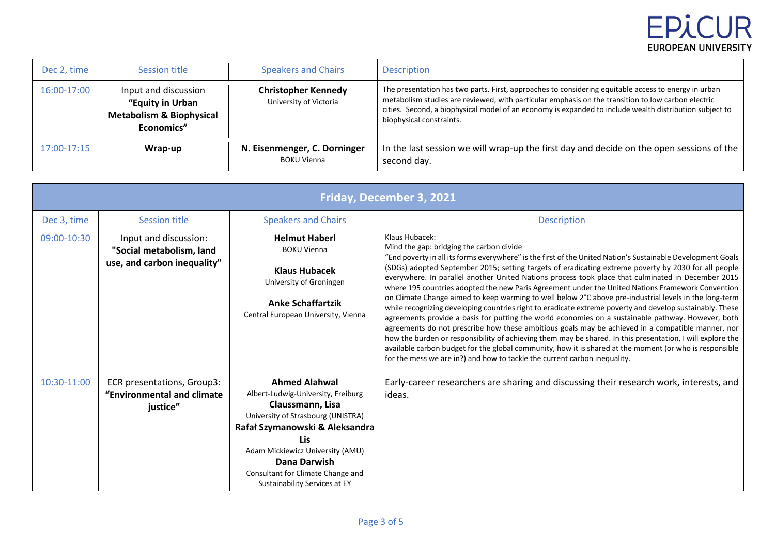# **EPICUR EUROPEAN UNIVERSITY**

| Dec 2, time | Session title                                                                                 | <b>Speakers and Chairs</b>                           | <b>Description</b>                                                                                                                                                                                                                                                                                                                                |
|-------------|-----------------------------------------------------------------------------------------------|------------------------------------------------------|---------------------------------------------------------------------------------------------------------------------------------------------------------------------------------------------------------------------------------------------------------------------------------------------------------------------------------------------------|
| 16:00-17:00 | Input and discussion<br>"Equity in Urban<br><b>Metabolism &amp; Biophysical</b><br>Economics" | <b>Christopher Kennedy</b><br>University of Victoria | The presentation has two parts. First, approaches to considering equitable access to energy in urban<br>metabolism studies are reviewed, with particular emphasis on the transition to low carbon electric<br>cities. Second, a biophysical model of an economy is expanded to include wealth distribution subject to<br>biophysical constraints. |
| 17:00-17:15 | Wrap-up                                                                                       | N. Eisenmenger, C. Dorninger<br><b>BOKU Vienna</b>   | In the last session we will wrap-up the first day and decide on the open sessions of the<br>second day.                                                                                                                                                                                                                                           |

| Friday, December 3, 2021 |                                                                                  |                                                                                                                                                                                                                                                                                                |                                                                                                                                                                                                                                                                                                                                                                                                                                                                                                                                                                                                                                                                                                                                                                                                                                                                                                                                                                                                                                                                                                                                                                                                                                     |
|--------------------------|----------------------------------------------------------------------------------|------------------------------------------------------------------------------------------------------------------------------------------------------------------------------------------------------------------------------------------------------------------------------------------------|-------------------------------------------------------------------------------------------------------------------------------------------------------------------------------------------------------------------------------------------------------------------------------------------------------------------------------------------------------------------------------------------------------------------------------------------------------------------------------------------------------------------------------------------------------------------------------------------------------------------------------------------------------------------------------------------------------------------------------------------------------------------------------------------------------------------------------------------------------------------------------------------------------------------------------------------------------------------------------------------------------------------------------------------------------------------------------------------------------------------------------------------------------------------------------------------------------------------------------------|
| Dec 3, time              | Session title                                                                    | <b>Speakers and Chairs</b>                                                                                                                                                                                                                                                                     | <b>Description</b>                                                                                                                                                                                                                                                                                                                                                                                                                                                                                                                                                                                                                                                                                                                                                                                                                                                                                                                                                                                                                                                                                                                                                                                                                  |
| 09:00-10:30              | Input and discussion:<br>"Social metabolism, land<br>use, and carbon inequality" | <b>Helmut Haberl</b><br><b>BOKU Vienna</b><br><b>Klaus Hubacek</b><br>University of Groningen<br><b>Anke Schaffartzik</b><br>Central European University, Vienna                                                                                                                               | Klaus Hubacek:<br>Mind the gap: bridging the carbon divide<br>"End poverty in all its forms everywhere" is the first of the United Nation's Sustainable Development Goals<br>(SDGs) adopted September 2015; setting targets of eradicating extreme poverty by 2030 for all people<br>everywhere. In parallel another United Nations process took place that culminated in December 2015<br>where 195 countries adopted the new Paris Agreement under the United Nations Framework Convention<br>on Climate Change aimed to keep warming to well below 2°C above pre-industrial levels in the long-term<br>while recognizing developing countries right to eradicate extreme poverty and develop sustainably. These<br>agreements provide a basis for putting the world economies on a sustainable pathway. However, both<br>agreements do not prescribe how these ambitious goals may be achieved in a compatible manner, nor<br>how the burden or responsibility of achieving them may be shared. In this presentation, I will explore the<br>available carbon budget for the global community, how it is shared at the moment (or who is responsible<br>for the mess we are in?) and how to tackle the current carbon inequality. |
| 10:30-11:00              | ECR presentations, Group3:<br>"Environmental and climate<br>justice"             | <b>Ahmed Alahwal</b><br>Albert-Ludwig-University, Freiburg<br>Claussmann, Lisa<br>University of Strasbourg (UNISTRA)<br>Rafał Szymanowski & Aleksandra<br><b>Lis</b><br>Adam Mickiewicz University (AMU)<br>Dana Darwish<br>Consultant for Climate Change and<br>Sustainability Services at EY | Early-career researchers are sharing and discussing their research work, interests, and<br>ideas.                                                                                                                                                                                                                                                                                                                                                                                                                                                                                                                                                                                                                                                                                                                                                                                                                                                                                                                                                                                                                                                                                                                                   |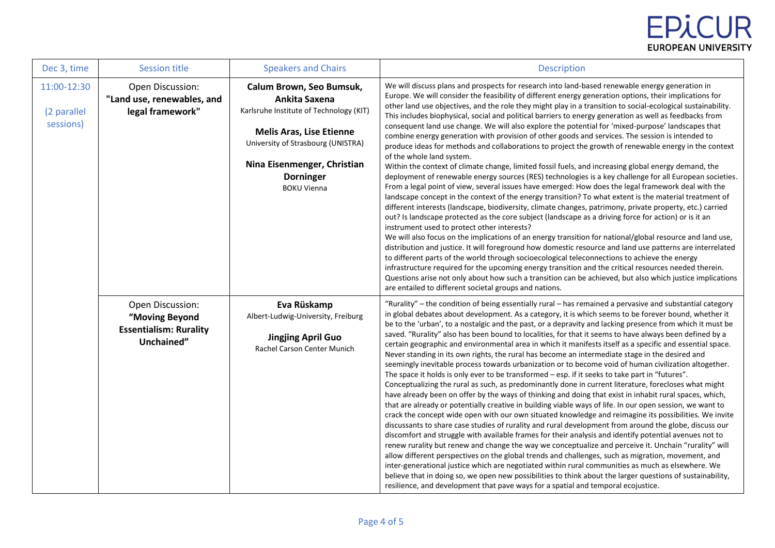| Dec 3, time                             | <b>Session title</b>                                                              | <b>Speakers and Chairs</b>                                                                                                                                                                                                             | <b>Description</b>                                                                                                                                                                                                                                                                                                                                                                                                                                                                                                                                                                                                                                                                                                                                                                                                                                                                                                                                                                                                                                                                                                                                                                                                                                                                                                                                                                                                                                                                                                                                                                                                                                                                                                                                                                                                                                                                                                                                                                                                                                                                                         |
|-----------------------------------------|-----------------------------------------------------------------------------------|----------------------------------------------------------------------------------------------------------------------------------------------------------------------------------------------------------------------------------------|------------------------------------------------------------------------------------------------------------------------------------------------------------------------------------------------------------------------------------------------------------------------------------------------------------------------------------------------------------------------------------------------------------------------------------------------------------------------------------------------------------------------------------------------------------------------------------------------------------------------------------------------------------------------------------------------------------------------------------------------------------------------------------------------------------------------------------------------------------------------------------------------------------------------------------------------------------------------------------------------------------------------------------------------------------------------------------------------------------------------------------------------------------------------------------------------------------------------------------------------------------------------------------------------------------------------------------------------------------------------------------------------------------------------------------------------------------------------------------------------------------------------------------------------------------------------------------------------------------------------------------------------------------------------------------------------------------------------------------------------------------------------------------------------------------------------------------------------------------------------------------------------------------------------------------------------------------------------------------------------------------------------------------------------------------------------------------------------------------|
| 11:00-12:30<br>(2 parallel<br>sessions) | Open Discussion:<br>"Land use, renewables, and<br>legal framework"                | Calum Brown, Seo Bumsuk,<br>Ankita Saxena<br>Karlsruhe Institute of Technology (KIT)<br><b>Melis Aras, Lise Etienne</b><br>University of Strasbourg (UNISTRA)<br>Nina Eisenmenger, Christian<br><b>Dorninger</b><br><b>BOKU Vienna</b> | We will discuss plans and prospects for research into land-based renewable energy generation in<br>Europe. We will consider the feasibility of different energy generation options, their implications for<br>other land use objectives, and the role they might play in a transition to social-ecological sustainability.<br>This includes biophysical, social and political barriers to energy generation as well as feedbacks from<br>consequent land use change. We will also explore the potential for 'mixed-purpose' landscapes that<br>combine energy generation with provision of other goods and services. The session is intended to<br>produce ideas for methods and collaborations to project the growth of renewable energy in the context<br>of the whole land system.<br>Within the context of climate change, limited fossil fuels, and increasing global energy demand, the<br>deployment of renewable energy sources (RES) technologies is a key challenge for all European societies.<br>From a legal point of view, several issues have emerged: How does the legal framework deal with the<br>landscape concept in the context of the energy transition? To what extent is the material treatment of<br>different interests (landscape, biodiversity, climate changes, patrimony, private property, etc.) carried<br>out? Is landscape protected as the core subject (landscape as a driving force for action) or is it an<br>instrument used to protect other interests?<br>We will also focus on the implications of an energy transition for national/global resource and land use,<br>distribution and justice. It will foreground how domestic resource and land use patterns are interrelated<br>to different parts of the world through socioecological teleconnections to achieve the energy<br>infrastructure required for the upcoming energy transition and the critical resources needed therein.<br>Questions arise not only about how such a transition can be achieved, but also which justice implications<br>are entailed to different societal groups and nations. |
|                                         | Open Discussion:<br>"Moving Beyond<br><b>Essentialism: Rurality</b><br>Unchained" | Eva Rüskamp<br>Albert-Ludwig-University, Freiburg<br><b>Jingjing April Guo</b><br><b>Rachel Carson Center Munich</b>                                                                                                                   | "Rurality" - the condition of being essentially rural - has remained a pervasive and substantial category<br>in global debates about development. As a category, it is which seems to be forever bound, whether it<br>be to the 'urban', to a nostalgic and the past, or a depravity and lacking presence from which it must be<br>saved. "Rurality" also has been bound to localities, for that it seems to have always been defined by a<br>certain geographic and environmental area in which it manifests itself as a specific and essential space.<br>Never standing in its own rights, the rural has become an intermediate stage in the desired and<br>seemingly inevitable process towards urbanization or to become void of human civilization altogether.<br>The space it holds is only ever to be transformed - esp. if it seeks to take part in "futures".<br>Conceptualizing the rural as such, as predominantly done in current literature, forecloses what might<br>have already been on offer by the ways of thinking and doing that exist in inhabit rural spaces, which,<br>that are already or potentially creative in building viable ways of life. In our open session, we want to<br>crack the concept wide open with our own situated knowledge and reimagine its possibilities. We invite<br>discussants to share case studies of rurality and rural development from around the globe, discuss our<br>discomfort and struggle with available frames for their analysis and identify potential avenues not to<br>renew rurality but renew and change the way we conceptualize and perceive it. Unchain "rurality" will<br>allow different perspectives on the global trends and challenges, such as migration, movement, and<br>inter-generational justice which are negotiated within rural communities as much as elsewhere. We<br>believe that in doing so, we open new possibilities to think about the larger questions of sustainability,<br>resilience, and development that pave ways for a spatial and temporal ecojustice.                                               |